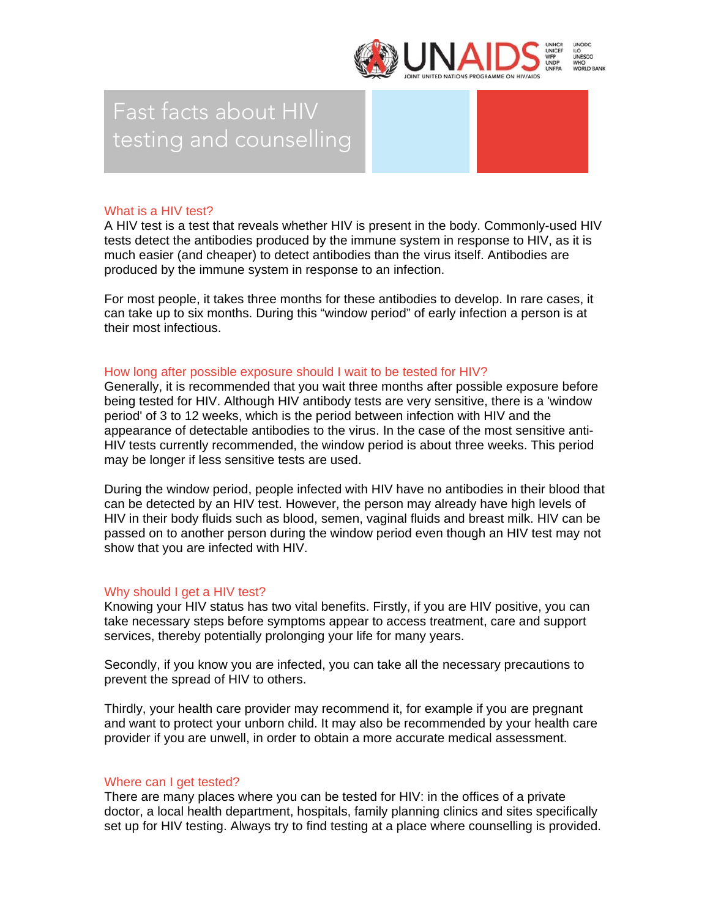

# Fast facts about HIV testing and counselling

## What is a HIV test?

A HIV test is a test that reveals whether HIV is present in the body. Commonly-used HIV tests detect the antibodies produced by the immune system in response to HIV, as it is much easier (and cheaper) to detect antibodies than the virus itself. Antibodies are produced by the immune system in response to an infection.

For most people, it takes three months for these antibodies to develop. In rare cases, it can take up to six months. During this "window period" of early infection a person is at their most infectious.

## How long after possible exposure should I wait to be tested for HIV?

Generally, it is recommended that you wait three months after possible exposure before being tested for HIV. Although HIV antibody tests are very sensitive, there is a 'window period' of 3 to 12 weeks, which is the period between infection with HIV and the appearance of detectable antibodies to the virus. In the case of the most sensitive anti-HIV tests currently recommended, the window period is about three weeks. This period may be longer if less sensitive tests are used.

During the window period, people infected with HIV have no antibodies in their blood that can be detected by an HIV test. However, the person may already have high levels of HIV in their body fluids such as blood, semen, vaginal fluids and breast milk. HIV can be passed on to another person during the window period even though an HIV test may not show that you are infected with HIV.

# Why should I get a HIV test?

Knowing your HIV status has two vital benefits. Firstly, if you are HIV positive, you can take necessary steps before symptoms appear to access treatment, care and support services, thereby potentially prolonging your life for many years.

Secondly, if you know you are infected, you can take all the necessary precautions to prevent the spread of HIV to others.

Thirdly, your health care provider may recommend it, for example if you are pregnant and want to protect your unborn child. It may also be recommended by your health care provider if you are unwell, in order to obtain a more accurate medical assessment.

### Where can I get tested?

There are many places where you can be tested for HIV: in the offices of a private doctor, a local health department, hospitals, family planning clinics and sites specifically set up for HIV testing. Always try to find testing at a place where counselling is provided.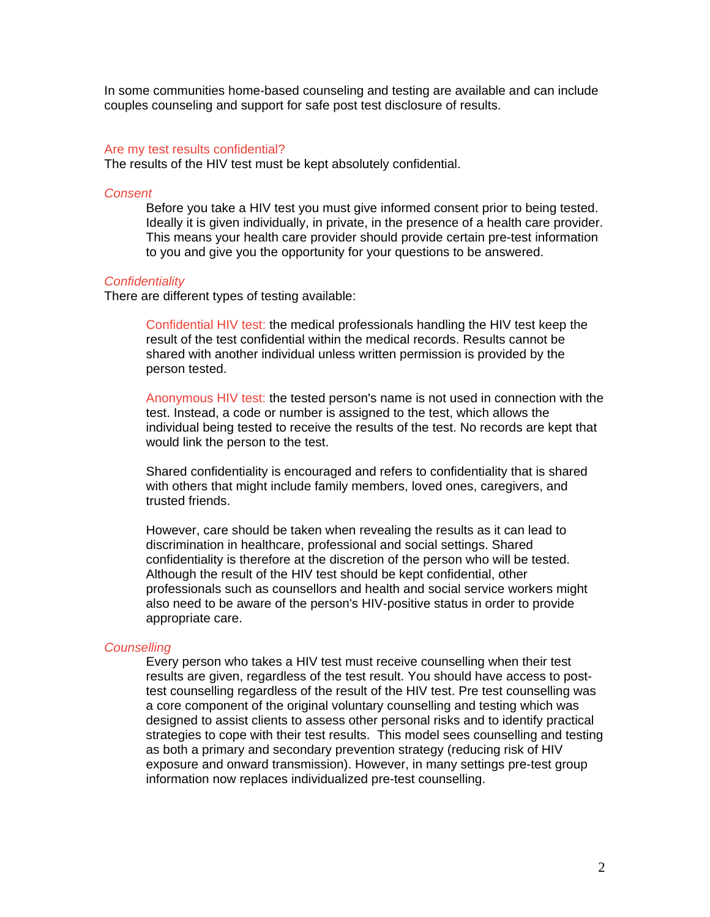In some communities home-based counseling and testing are available and can include couples counseling and support for safe post test disclosure of results.

#### Are my test results confidential?

The results of the HIV test must be kept absolutely confidential.

#### *Consent*

Before you take a HIV test you must give informed consent prior to being tested. Ideally it is given individually, in private, in the presence of a health care provider. This means your health care provider should provide certain pre-test information to you and give you the opportunity for your questions to be answered.

#### *Confidentiality*

There are different types of testing available:

Confidential HIV test: the medical professionals handling the HIV test keep the result of the test confidential within the medical records. Results cannot be shared with another individual unless written permission is provided by the person tested.

Anonymous HIV test: the tested person's name is not used in connection with the test. Instead, a code or number is assigned to the test, which allows the individual being tested to receive the results of the test. No records are kept that would link the person to the test.

Shared confidentiality is encouraged and refers to confidentiality that is shared with others that might include family members, loved ones, caregivers, and trusted friends.

However, care should be taken when revealing the results as it can lead to discrimination in healthcare, professional and social settings. Shared confidentiality is therefore at the discretion of the person who will be tested. Although the result of the HIV test should be kept confidential, other professionals such as counsellors and health and social service workers might also need to be aware of the person's HIV-positive status in order to provide appropriate care.

#### *Counselling*

Every person who takes a HIV test must receive counselling when their test results are given, regardless of the test result. You should have access to posttest counselling regardless of the result of the HIV test. Pre test counselling was a core component of the original voluntary counselling and testing which was designed to assist clients to assess other personal risks and to identify practical strategies to cope with their test results. This model sees counselling and testing as both a primary and secondary prevention strategy (reducing risk of HIV exposure and onward transmission). However, in many settings pre-test group information now replaces individualized pre-test counselling.